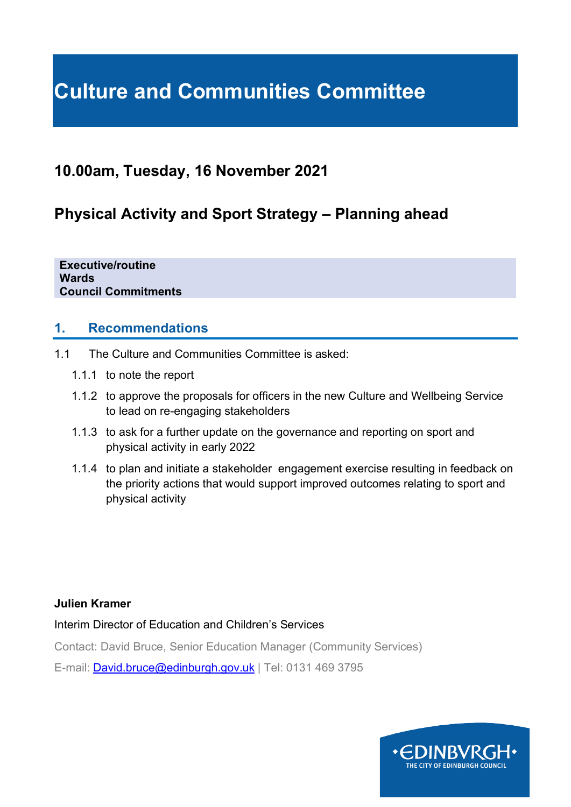# **Culture and Communities Committee**

# **10.00am, Tuesday, 16 November 2021**

# **Physical Activity and Sport Strategy – Planning ahead**

**Executive/routine Wards Council Commitments**

#### **1. Recommendations**

- 1.1 The Culture and Communities Committee is asked:
	- 1.1.1 to note the report
	- 1.1.2 to approve the proposals for officers in the new Culture and Wellbeing Service to lead on re-engaging stakeholders
	- 1.1.3 to ask for a further update on the governance and reporting on sport and physical activity in early 2022
	- 1.1.4 to plan and initiate a stakeholder engagement exercise resulting in feedback on the priority actions that would support improved outcomes relating to sport and physical activity

#### **Julien Kramer**

Interim Director of Education and Children's Services

Contact: David Bruce, Senior Education Manager (Community Services)

E-mail: [David.bruce@edinburgh.gov.uk](mailto:David.bruce@edinburgh.gov.uk) | Tel: 0131 469 3795

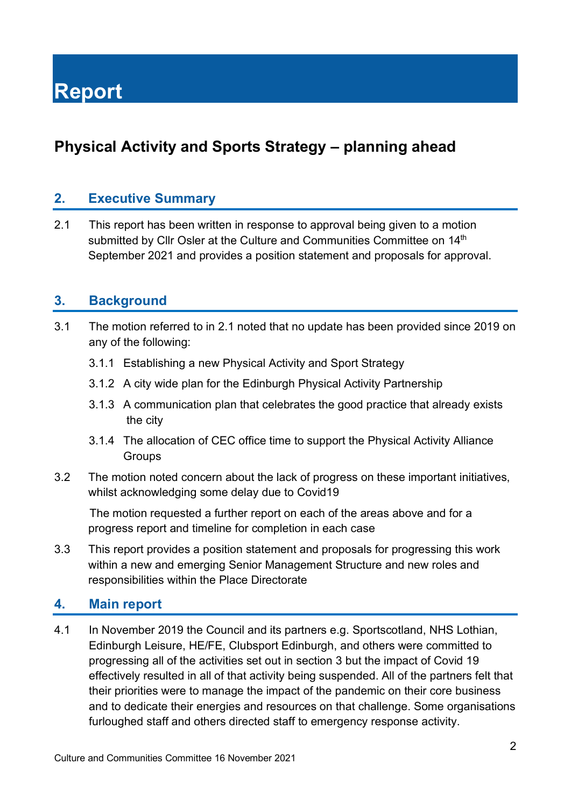# **Physical Activity and Sports Strategy – planning ahead**

#### **2. Executive Summary**

2.1 This report has been written in response to approval being given to a motion submitted by Cllr Osler at the Culture and Communities Committee on 14<sup>th</sup> September 2021 and provides a position statement and proposals for approval.

#### **3. Background**

- 3.1 The motion referred to in 2.1 noted that no update has been provided since 2019 on any of the following:
	- 3.1.1 Establishing a new Physical Activity and Sport Strategy
	- 3.1.2 A city wide plan for the Edinburgh Physical Activity Partnership
	- 3.1.3 A communication plan that celebrates the good practice that already exists the city
	- 3.1.4 The allocation of CEC office time to support the Physical Activity Alliance **Groups**
- 3.2 The motion noted concern about the lack of progress on these important initiatives, whilst acknowledging some delay due to Covid19

 The motion requested a further report on each of the areas above and for a progress report and timeline for completion in each case

3.3 This report provides a position statement and proposals for progressing this work within a new and emerging Senior Management Structure and new roles and responsibilities within the Place Directorate

#### **4. Main report**

4.1 In November 2019 the Council and its partners e.g. Sportscotland, NHS Lothian, Edinburgh Leisure, HE/FE, Clubsport Edinburgh, and others were committed to progressing all of the activities set out in section 3 but the impact of Covid 19 effectively resulted in all of that activity being suspended. All of the partners felt that their priorities were to manage the impact of the pandemic on their core business and to dedicate their energies and resources on that challenge. Some organisations furloughed staff and others directed staff to emergency response activity.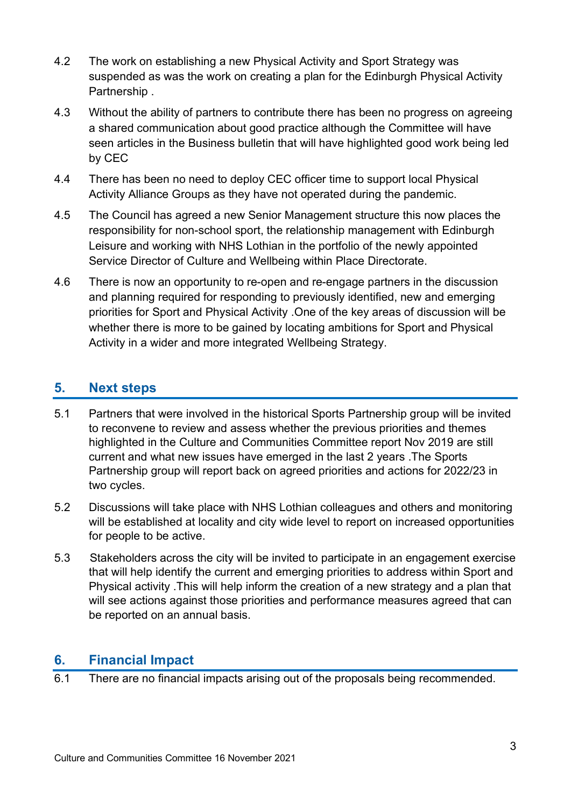- 4.2 The work on establishing a new Physical Activity and Sport Strategy was suspended as was the work on creating a plan for the Edinburgh Physical Activity Partnership .
- 4.3 Without the ability of partners to contribute there has been no progress on agreeing a shared communication about good practice although the Committee will have seen articles in the Business bulletin that will have highlighted good work being led by CEC
- 4.4 There has been no need to deploy CEC officer time to support local Physical Activity Alliance Groups as they have not operated during the pandemic.
- 4.5 The Council has agreed a new Senior Management structure this now places the responsibility for non-school sport, the relationship management with Edinburgh Leisure and working with NHS Lothian in the portfolio of the newly appointed Service Director of Culture and Wellbeing within Place Directorate.
- 4.6 There is now an opportunity to re-open and re-engage partners in the discussion and planning required for responding to previously identified, new and emerging priorities for Sport and Physical Activity .One of the key areas of discussion will be whether there is more to be gained by locating ambitions for Sport and Physical Activity in a wider and more integrated Wellbeing Strategy.

## **5. Next steps**

- 5.1 Partners that were involved in the historical Sports Partnership group will be invited to reconvene to review and assess whether the previous priorities and themes highlighted in the Culture and Communities Committee report Nov 2019 are still current and what new issues have emerged in the last 2 years .The Sports Partnership group will report back on agreed priorities and actions for 2022/23 in two cycles.
- 5.2 Discussions will take place with NHS Lothian colleagues and others and monitoring will be established at locality and city wide level to report on increased opportunities for people to be active.
- 5.3 Stakeholders across the city will be invited to participate in an engagement exercise that will help identify the current and emerging priorities to address within Sport and Physical activity .This will help inform the creation of a new strategy and a plan that will see actions against those priorities and performance measures agreed that can be reported on an annual basis.

#### **6. Financial Impact**

6.1 There are no financial impacts arising out of the proposals being recommended.